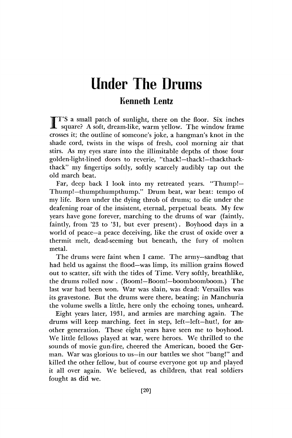# Under The Drums

## **Kenneth Lentz**

 $\prod_{\cdots}$ T'S a small patch of sunlight, there on the floor. Six inches square? A soft, dream-like, warm yellow. The window frame crosses it; the outline of someone's joke, a hangman's knot in the shade cord, twists in the wisps of fresh, cool morning air that stirs. As my eyes stare into the illimitable depths of those four golden-light-lined doors to reverie, "thack!— thack!—thackthackthack" my fingertips softly, softly scarcely audibly tap out the old march beat.

Far, deep back I look into my retreated years. "Thump!— Thump!—thumpthumpthump." Drum beat, war beat: tempo of my life. Born under the dying throb of drums; to die under the deafening roar of the insistent, eternal, perpetual beats. My few years have gone forever, marching to the drums of war (faintly, faintly, from '23 to '31, but ever present). Boyhood days in a world of peace—a peace deceiving, like the crust of oxide over a thermit melt, dead-seeming but beneath, the fury of molten metal.

The drums were faint when I came. The army—sandbag that had held us against the flood—was limp, its million grains flowed out to scatter, sift with the tides of Time. Very softly, breathlike, the drums rolled now . (Boom!—Boom!—boomboomboom.) The last war had been won. War was slain, was dead: Versailles was its gravestone. But the drums were there, beating; in Manchuria the volume swells a little, here only the echoing tones, unheard.

Eight years later, 1931, and armies are marching again. The drums will keep marching, feet in step, left—left—hut!, for another generation. These eight years have seen me to boyhood. We little fellows played at war, were heroes. We thrilled to the sounds of movie gun-fire, cheered the American, booed the German. War was glorious to us—in our battles we shot "bang!" and killed the other fellow, but of course everyone got up and played it all over again. We believed, as children, that real soldiers fought as did we.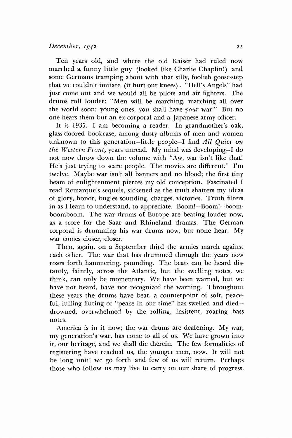#### *December, 1942 <sup>21</sup>*

Ten years old, and where the old Kaiser had ruled now marched a funny little guy (looked like Charlie Chaplin!) and some Germans tramping about with that silly, foolish goose-step that we couldn't imitate (it hurt our knees). "Hell's Angels" had just come out and we would all be pilots and air fighters. The drums roll louder: "Men will be marching, marching all over the world soon; young ones, you shall have *your* war." But no one hears them but an ex-corporal and a Japanese army officer.

It is 1935. I am becoming a reader. In grandmother's oak, glass-doored bookcase, among dusty albums of men and women unknown to this generation—little people—I find *All Quiet on the Western Front,* years unread. My mind was developing—I do not now throw down the volume with "Aw, war isn't like that! He's just trying to scare people. The movies are different." I'm twelve. Maybe war isn't all banners and no blood; the first tiny beam of enlightenment pierces my old conception. Fascinated I read Remarque's sequels, sickened as the truth shatters my ideas of glory, honor, bugles sounding, charges, victories. Truth filters in as I learn to understand, to appreciate. Boom!—Boom!—boomboomboom. The war drums of Europe are beating louder now, as a score for the Saar and Rhineland dramas. The German corporal is drumming his war drums now, but none hear. My war comes closer, closer.

Then, again, on a September third the armies march against each other. The war that has drummed through the years now roars forth hammering, pounding. The beats can be heard distantly, faintly, across the Atlantic, but the swelling notes, we think, can only be momentary. We have been warned, but we have not heard, have not recognized the warning. Throughout these years the drums have beat, a counterpoint of soft, peaceful, lulling fluting of "peace in our time" has swelled and died drowned, overwhelmed by the rolling, insistent, roaring bass notes.

America is in it now; the war drums are deafening. My war, my generation's war, has come to all of us. We have grown into it, our heritage, and we shall die therein. The few formalities of registering have reached us, the younger men, now. It will not be long until we go forth and few of us will return. Perhaps those who follow us may live to carry on our share of progress.